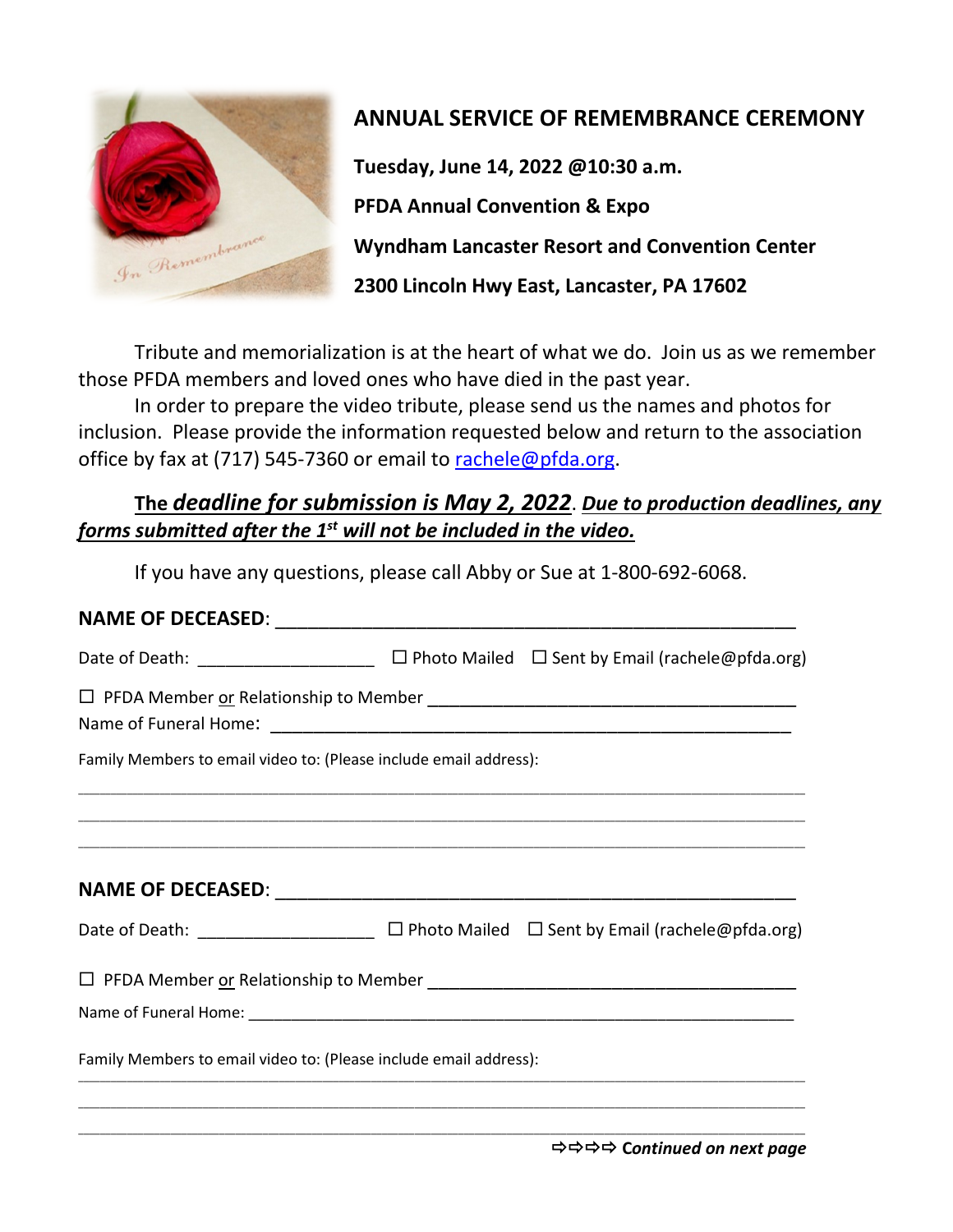

# **ANNUAL SERVICE OF REMEMBRANCE CEREMONY**

**Tuesday, June 14, 2022 @10:30 a.m. PFDA Annual Convention & Expo Wyndham Lancaster Resort and Convention Center 2300 Lincoln Hwy East, Lancaster, PA 17602** 

Tribute and memorialization is at the heart of what we do. Join us as we remember those PFDA members and loved ones who have died in the past year.

In order to prepare the video tribute, please send us the names and photos for inclusion. Please provide the information requested below and return to the association office by fax at (717) 545-7360 or email to [rachele@pfda.org.](mailto:rachele@pfda.org)

### **The** *deadline for submission is May 2, 2022*. *Due to production deadlines, any forms submitted after the 1st will not be included in the video.*

If you have any questions, please call Abby or Sue at 1-800-692-6068.

#### **NAME OF DECEASED:**  $\blacksquare$

| Date of Death: _______________________                                                                |  | $\Box$ Photo Mailed $\Box$ Sent by Email (rachele@pfda.org) |  |
|-------------------------------------------------------------------------------------------------------|--|-------------------------------------------------------------|--|
|                                                                                                       |  |                                                             |  |
| Family Members to email video to: (Please include email address):                                     |  |                                                             |  |
|                                                                                                       |  |                                                             |  |
|                                                                                                       |  |                                                             |  |
| Date of Death: __________________________ $\Box$ Photo Mailed $\Box$ Sent by Email (rachele@pfda.org) |  |                                                             |  |
|                                                                                                       |  |                                                             |  |
|                                                                                                       |  |                                                             |  |
| Family Members to email video to: (Please include email address):                                     |  |                                                             |  |
|                                                                                                       |  |                                                             |  |

\_\_\_\_\_\_\_\_\_\_\_\_\_\_\_\_\_\_\_\_\_\_\_\_\_\_\_\_\_\_\_\_\_\_\_\_\_\_\_\_\_\_\_\_\_\_\_\_\_\_\_\_\_\_\_\_\_\_\_\_\_\_\_\_\_\_\_\_\_\_\_\_\_\_\_\_\_\_\_\_\_\_\_\_\_\_\_\_\_\_\_\_\_\_\_\_\_\_\_\_\_\_\_\_\_\_\_\_\_\_\_\_\_\_\_\_\_\_\_\_\_\_\_\_\_\_\_\_\_\_\_\_\_\_